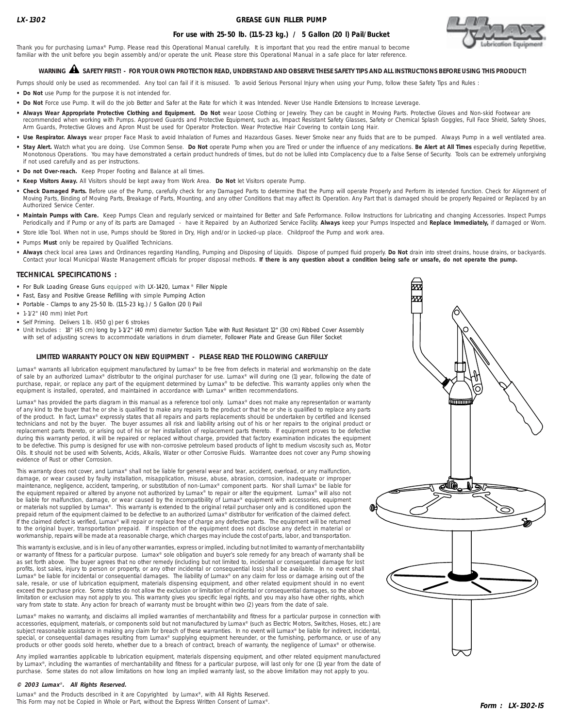## **GREASE GUN FILLER PUMP**



# **For use with 25-50 lb. (11.5-23 kg.) / 5 Gallon (20 l) Pail/Bucket**

Thank you for purchasing Lumax® Pump. Please read this Operational Manual carefully. It is important that you read the entire manual to become familiar with the unit before you begin assembly and/or operate the unit. Please store this Operational Manual in a safe place for later reference.

# **WARNING SAFETY FIRST! - FOR YOUR OWN PROTECTION READ, UNDERSTAND AND OBSERVE THESE SAFETY TIPS AND ALL INSTRUCTIONS BEFORE USING THIS PRODUCT!** !

Pumps should only be used as recommended. Any tool can fail if it is misused. To avoid Serious Personal Injury when using your Pump, follow these Safety Tips and Rules :

- **• Do Not** use Pump for the purpose it is not intended for.
- **• Do Not** Force use Pump. It will do the job Better and Safer at the Rate for which it was Intended. Never Use Handle Extensions to Increase Leverage.
- Always Wear Appropriate Protective Clothing and Equipment. Do Not wear Loose Clothing or Jewelry. They can be caught in Moving Parts. Protective Gloves and Non-skid Footwear are recommended when working with Pumps. Approved Guards and Protective Equipment, such as, Impact Resistant Safety Glasses, Safety or Chemical Splash Goggles, Full Face Shield, Safety Shoes, Arm Guards, Protective Gloves and Apron Must be used for Operator Protection. Wear Protective Hair Covering to contain Long Hair.
- Use Respirator. Always wear proper Face Mask to avoid Inhalation of Fumes and Hazardous Gases. Never Smoke near any fluids that are to be pumped. Always Pump in a well ventilated area.
- **• Stay Alert.** Watch what you are doing. Use Common Sense. **Do Not** operate Pump when you are Tired or under the influence of any medications. **Be Alert at All Times** especially during Repetitive, Monotonous Operations. You may have demonstrated a certain product hundreds of times, but do not be lulled into Complacency due to a False Sense of Security. Tools can be extremely unforgiving if not used carefully and as per instructions.
- **• Do not Over-reach.** Keep Proper Footing and Balance at all times.
- **• Keep Visitors Away.** All Visitors should be kept away from Work Area. **Do Not** let Visitors operate Pump.
- **• Check Damaged Parts.** Before use of the Pump, carefully check for any Damaged Parts to determine that the Pump will operate Properly and Perform its intended function. Check for Alignment of Moving Parts, Binding of Moving Parts, Breakage of Parts, Mounting, and any other Conditions that may affect its Operation. Any Part that is damaged should be properly Repaired or Replaced by an Authorized Service Center.
- Maintain Pumps with Care. Keep Pumps Clean and regularly serviced or maintained for Better and Safe Performance. Follow Instructions for Lubricating and changing Accessories. Inspect Pumps Periodically and if Pump or any of its parts are Damaged - have it Repaired by an Authorized Service Facility. **Always** keep your Pumps Inspected and **Replace Immediately,** if damaged or Worn.
- **•** Store Idle Tool. When not in use, Pumps should be Stored in Dry, High and/or in Locked-up place. Childproof the Pump and work area.
- **•** Pumps **Must** only be repaired by Qualified Technicians.
- **Always** check local area Laws and Ordinances regarding Handling, Pumping and Disposing of Liquids. Dispose of pumped fluid properly. **Do Not** drain into street drains, house drains, or backyards. Contact your local Municipal Waste Management officials for proper disposal methods. **If there is any question about a condition being safe or unsafe, do not operate the pump.**

### **TECHNICAL SPECIFICATIONS :**

- **•** For Bulk Loading Grease Guns equipped with LX-1420, Lumax ® Filler Nipple
- **•** Fast, Easy and Positive Grease Refilling with simple Pumping Action
- **•** Portable Clamps to any 25-50 lb. (11.5-23 kg.) / 5 Gallon (20 l) Pail
- **•** 1-1/2" (40 mm) Inlet Port
- **•** Self Priming. Delivers 1 lb. (450 g) per 6 strokes
- **•** Unit Includes : 18" (45 cm) long by 1-1/2" (40 mm) diameter Suction Tube with Rust Resistant 12" (30 cm) Ribbed Cover Assembly with set of adjusting screws to accommodate variations in drum diameter, Follower Plate and Grease Gun Filler Socket

### **LIMITED WARRANTY POLICY ON NEW EQUIPMENT - PLEASE READ THE FOLLOWING CAREFULLY**

Lumax<sup>®</sup> warrants all lubrication equipment manufactured by Lumax<sup>®</sup> to be free from defects in material and workmanship on the date of sale by an authorized Lumax® distributor to the original purchaser for use. Lumax® will during one (1) year, following the date of purchase, repair, or replace any part of the equipment determined by Lumax® to be defective. This warranty applies only when the equipment is installed, operated, and maintained in accordance with Lumax® written recommendations.

Lumax® has provided the parts diagram in this manual as a reference tool only. Lumax® does not make any representation or warranty of any kind to the buyer that he or she is qualified to make any repairs to the product or that he or she is qualified to replace any parts of the product. In fact, Lumax® expressly states that all repairs and parts replacements should be undertaken by certified and licensed technicians and not by the buyer. The buyer assumes all risk and liability arising out of his or her repairs to the original product or replacement parts thereto, or arising out of his or her installation of replacement parts thereto. If equipment proves to be defective during this warranty period, it will be repaired or replaced without charge, provided that factory examination indicates the equipment to be defective. This pump is designed for use with non-corrosive petroleum based products of light to medium viscosity such as, Motor Oils. It should not be used with Solvents, Acids, Alkalis, Water or other Corrosive Fluids. Warrantee does not cover any Pump showing evidence of Rust or other Corrosion.

This warranty does not cover, and Lumax® shall not be liable for general wear and tear, accident, overload, or any malfunction, damage, or wear caused by faulty installation, misapplication, misuse, abuse, abrasion, corrosion, inadequate or improper maintenance, negligence, accident, tampering, or substitution of non-Lumax® component parts. Nor shall Lumax® be liable for the equipment repaired or altered by anyone not authorized by Lumax® to repair or alter the equipment. Lumax® will also not be liable for malfunction, damage, or wear caused by the incompatibility of Lumax® equipment with accessories, equipment or materials not supplied by Lumax®. This warranty is extended to the original retail purchaser only and is conditioned upon the prepaid return of the equipment claimed to be defective to an authorized Lumax® distributor for verification of the claimed defect. If the claimed defect is verified, Lumax® will repair or replace free of charge any defective parts. The equipment will be returned to the original buyer, transportation prepaid. If inspection of the equipment does not disclose any defect in material or workmanship, repairs will be made at a reasonable charge, which charges may include the cost of parts, labor, and transportation.

This warranty is exclusive, and is in lieu of any other warranties, express or implied, including but not limited to warranty of merchantability or warranty of fitness for a particular purpose. Lumax® sole obligation and buyer's sole remedy for any breach of warranty shall be as set forth above. The buyer agrees that no other remedy (including but not limited to, incidental or consequential damage for lost profits, lost sales, injury to person or property, or any other incidental or consequential loss) shall be available. In no event shall Lumax® be liable for incidental or consequential damages. The liability of Lumax® on any claim for loss or damage arising out of the sale, resale, or use of lubrication equipment, materials dispensing equipment, and other related equipment should in no event exceed the purchase price. Some states do not allow the exclusion or limitation of incidental or consequential damages, so the above limitation or exclusion may not apply to you. This warranty gives you specific legal rights, and you may also have other rights, which vary from state to state. Any action for breach of warranty must be brought within two (2) years from the date of sale.

Lumax® makes no warranty, and disclaims all implied warranties of merchantability and fitness for a particular purpose in connection with accessories, equipment, materials, or components sold but not manufactured by Lumax® (such as Electric Motors, Switches, Hoses, etc.) are subject reasonable assistance in making any claim for breach of these warranties. In no event will Lumax® be liable for indirect, incidental, special, or consequential damages resulting from Lumax® supplying equipment hereunder, or the furnishing, performance, or use of any products or other goods sold hereto, whether due to a breach of contract, breach of warranty, the negligence of Lumax<sup>®</sup> or otherwise

Any implied warranties applicable to lubrication equipment, materials dispensing equipment, and other related equipment manufactured by Lumax®, including the warranties of merchantability and fitness for a particular purpose, will last only for one (1) year from the date of purchase. Some states do not allow limitations on how long an implied warranty last, so the above limitation may not apply to you.

### **© 2003 Lumax**® **. All Rights Reserved.**

Lumax<sup>®</sup> and the Products described in it are Copyrighted by Lumax<sup>®</sup>, with All Rights Reserved. This Form may not be Copied in Whole or Part, without the Express Written Consent of Lumax®.

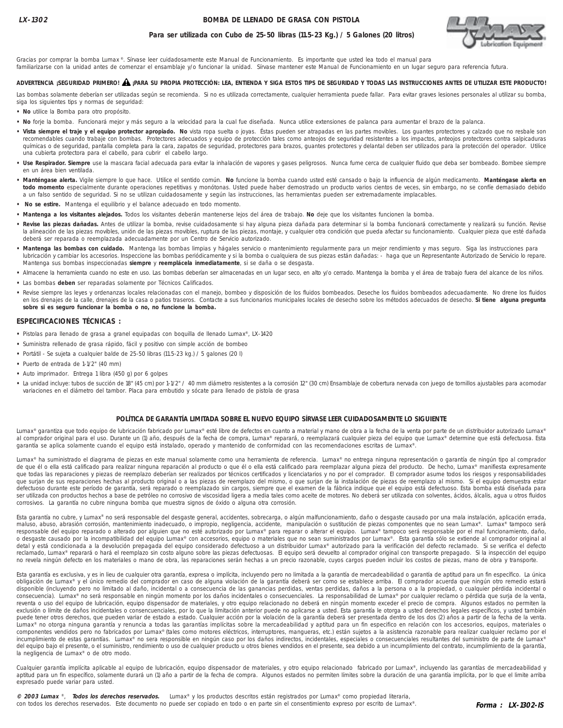### **BOMBA DE LLENADO DE GRASA CON PISTOLA**



### **Para ser utilizada con Cubo de 25-50 libras (11.5-23 Kg.) / 5 Galones (20 litros)**

Gracias por comprar la bomba Lumax®. Sírvase leer cuidadosamente este Manual de Funcionamiento. Es importante que usted lea todo el manual para familiarizarse con la unidad antes de comenzar el ensamblaje y/o funcionar la unidad. Sírvase mantener este Manual de Funcionamiento en un lugar seguro para referencia futura.

# **ADVERTENCIA ¡SEGURIDAD PRIMERO! ¡PARA SU PROPIA PROTECCIÓN: LEA, ENTIENDA Y SIGA ESTOS TIPS DE SEGURIDAD Y TODAS LAS INSTRUCCIONES ANTES DE UTILIZAR ESTE PRODUCTO!** !

Las bombas solamente deberían ser utilizadas según se recomienda. Si no es utilizada correctamente, cualquier herramienta puede fallar. Para evitar graves lesiones personales al utilizar su bomba, siga los siguientes tips y normas de seguridad:

- **No** utilice la Bomba para otro propósito.
- **No** forje la bomba. Funcionará mejor y más seguro a la velocidad para la cual fue diseñada. Nunca utilice extensiones de palanca para aumentar el brazo de la palanca.
- **Vista siempre el traje y el equipo protector apropiado. No** vista ropa suelta o joyas. Éstas pueden ser atrapadas en las partes movibles. Los guantes protectores y calzado que no resbale son recomendables cuando trabaje con bombas. Protectores adecuados y equipo de protección tales como anteojos de seguridad resistentes a los impactos, anteojos protectores contra salpicaduras químicas o de seguridad, pantalla completa para la cara, zapatos de seguridad, protectores para brazos, guantes protectores y delantal deben ser utilizados para la protección del operador. Utilice una cubierta protectora para el cabello, para cubrir el cabello largo.
- · Use Respirador. Siempre use la mascara facial adecuada para evitar la inhalación de vapores y gases peligrosos. Nunca fume cerca de cualquier fluido que deba ser bombeado. Bombee siempre en un área bien ventilada.
- **Manténgase alerta.** Vigile siempre lo que hace. Utilice el sentido común. **No** funcione la bomba cuando usted esté cansado o bajo la influencia de algún medicamento. **Manténgase alerta en todo momento** especialmente durante operaciones repetitivas y monótonas. Usted puede haber demostrado un producto varios cientos de veces, sin embargo, no se confíe demasiado debido a un falso sentido de seguridad. Si no se utilizan cuidadosamente y según las instrucciones, las herramientas pueden ser extremadamente implacables.
- **No se estire.** Mantenga el equilibrio y el balance adecuado en todo momento.
- **Mantenga a los visitantes alejados.** Todos los visitantes deberán mantenerse lejos del área de trabajo. **No** deje que los visitantes funcionen la bomba.
- **Revise las piezas dañadas.** Antes de utilizar la bomba, revise cuidadosamente si hay alguna pieza dañada para determinar si la bomba funcionará correctamente y realizará su función. Revise la alineación de las piezas movibles, unión de las piezas movibles, ruptura de las piezas, montaje, y cualquier otra condición que pueda afectar su funcionamiento. Cualquier pieza que esté dañada deberá ser reparada o reemplazada adecuadamente por un Centro de Servicio autorizado.
- **Mantenga las bombas con cuidado.** Mantenga las bombas limpias y hágales servicio o mantenimiento regularmente para un mejor rendimiento y mas seguro. Siga las instrucciones para lubricación y cambiar los accesorios. Inspeccione las bombas periódicamente y si la bomba o cualquiera de sus piezas están dañadas: - haga que un Representante Autorizado de Servicio lo repare. Mantenga sus bombas inspeccionadas **siempre** y **reemplácela inmediatamente**, si se daña o se desgasta.
- **•** Almacene la herramienta cuando no este en uso. Las bombas deberían ser almacenadas en un lugar seco, en alto y/o cerrado. Mantenga la bomba y el área de trabajo fuera del alcance de los niños.
- **•** Las bombas **deben** ser reparadas solamente por Técnicos Calificados.
- · Revise siempre las leyes y ordenanzas locales relacionadas con el manejo, bombeo y disposición de los fluidos bombeados. Deseche los fluidos bombeados adecuadamente. No drene los fluidos en los drenajes de la calle, drenajes de la casa o patios traseros. Contacte a sus funcionarios municipales locales de desecho sobre los métodos adecuados de desecho. **Si tiene alguna pregunta sobre si es seguro funcionar la bomba o no, no funcione la bomba.**

### **ESPECIFICACIONES TÉCNICAS :**

- **•** Pistolas para llenado de grasa a granel equipadas con boquilla de llenado Lumax®, LX-1420
- **•** Suministra rellenado de grasa rápido, fácil y positivo con simple acción de bombeo
- **•** Portátil Se sujeta a cualquier balde de 25-50 libras (11.5-23 kg.) / 5 galones (20 l)
- **•** Puerto de entrada de 1-1/2" (40 mm)
- **•** Auto imprimador. Entrega 1 libra (450 g) por 6 golpes
- **•** La unidad incluye: tubos de succión de 18" (45 cm) por 1-1/2" / 40 mm diámetro resistentes a la corrosión 12" (30 cm) Ensamblaje de cobertura nervada con juego de tornillos ajustables para acomodar variaciones en el diámetro del tambor. Placa para embutido y sócate para llenado de pistola de grasa

#### **POLÍTICA DE GARANTÍA LIMITADA SOBRE EL NUEVO EQUIPO SÍRVASE LEER CUIDADOSAMENTE LO SIGUIENTE**

Lumax® garantiza que todo equipo de lubricación fabricado por Lumax® esté libre de defectos en cuanto a material y mano de obra a la fecha de la venta por parte de un distribuidor autorizado Lumax® al comprador original para el uso. Durante un (1) año, después de la fecha de compra, Lumax® reparará, o reemplazará cualquier pieza del equipo que Lumax® determine que está defectuosa. Esta garantía se aplica solamente cuando el equipo está instalado, operado y mantenido de conformidad con las recomendaciones escritas de Lumax®.

Lumax® ha suministrado el diagrama de piezas en este manual solamente como una herramienta de referencia. Lumax® no entrega ninguna representación o garantía de ningún tipo al comprador de que él o ella está calificado para realizar ninguna reparación al producto o que él o ella está calificado para reemplazar alguna pieza del producto. De hecho, Lumax® manifiesta expresamente que todas las reparaciones y piezas de reemplazo deberían ser realizados por técnicos certificados y licenciatarios y no por el comprador. El comprador asume todos los riesgos y responsabilidades que surjan de sus reparaciones hechas al producto original o a las piezas de reemplazo del mismo, o que surjan de la instalación de piezas de reemplazo al mismo. Si el equipo demuestra estar defectuoso durante este período de garantía, será reparado o reemplazado sin cargos, siempre que el examen de la fábrica indique que el equipo está defectuoso. Esta bomba está diseñada para ser utilizada con productos hechos a base de petróleo no corrosivo de viscosidad ligera a media tales como aceite de motores. No deberá ser utilizada con solventes, ácidos, álcalis, agua u otros fluidos corrosivos. La garantía no cubre ninguna bomba que muestra signos de óxido o alguna otra corrosión.

Esta garantía no cubre, y Lumax® no será responsable del desgaste general, accidentes, sobrecarga, o algún malfuncionamiento, daño o desgaste causado por una mala instalación, aplicación errada, maluso, abuso, abrasión corrosión, mantenimiento inadecuado, o impropio, negligencia, accidente, manipulación o sustitución de piezas componentes que no sean Lumax®. Lumax® tampoco será responsable del equipo reparado o alterado por alguien que no esté autorizado por Lumax® para reparar o alterar el equipo. Lumax® tampoco será responsable por el mal funcionamiento, daño, o desgaste causado por la incompatibilidad del equipo Lumax® con accesorios, equipo o materiales que no sean suministrados por Lumax®. Esta garantía sólo se extiende al comprador original al detal y está condicionada a la devolución prepagada del equipo considerado defectuoso a un distribuidor Lumax® autorizado para la verificación del defecto reclamado. Si se verifica el defecto reclamado, Lumax® reparará o hará el reemplazo sin costo alguno sobre las piezas defectuosas. El equipo será devuelto al comprador original con transporte prepagado. Si la inspección del equipo no revela ningún defecto en los materiales o mano de obra, las reparaciones serán hechas a un precio razonable, cuyos cargos pueden incluir los costos de piezas, mano de obra y transporte.

Esta garantía es exclusiva, y es in lieu de cualquier otra garantía, expresa o implícita, incluyendo pero no limitada a la garantía de mercadeabilidad o garantía de aptitud para un fin específico. La única obligación de Lumax® y el único remedio del comprador en caso de alguna violación de la garantía deberá ser como se establece arriba. El comprador acuerda que ningún otro remedio estará disponible (incluyendo pero no limitado al daño, incidental o a consecuencia de las ganancias perdidas, ventas perdidas, daños a la persona o a la propiedad, o cualquier pérdida incidental o consecuencia). Lumax® no será responsable en ningún momento por los daños incidentales o consecuenciales. La responsabilidad de Lumax® por cualquier reclamo o pérdida que surja de la venta, reventa o uso del equipo de lubricación, equipo dispensador de materiales, y otro equipo relacionado no deberá en ningún momento exceder el precio de compra. Algunos estados no permiten la exclusión o límite de daños incidentales o consencuenciales, por lo que la limitación anterior puede no aplicarse a usted. Esta garantía le otorga a usted derechos legales específicos, y usted también puede tener otros derechos, que pueden variar de estado a estado. Cualquier acción por la violación de la garantía deberá ser presentada dentro de los dos (2) años a partir de la fecha de la venta. Lumax® no otorga ninguna garantía y renuncia a todas las garantías implícitas sobre la mercadeabilidad y aptitud para un fin especifico en relación con los accesorios, equipos, materiales o componentes vendidos pero no fabricados por Lumax® (tales como motores eléctricos, interruptores, mangueras, etc.) están sujetos a la asistencia razonable para realizar cualquier reclamo por el incumplimiento de estas garantías. Lumax® no sera responsible en ningún caso por los daños indirectos, incidentales, especiales o consecuenciales resultantes del suministro de parte de Lumax® del equipo bajo el presente, o el suministro, rendimiento o uso de cualquier producto u otros bienes vendidos en el presente, sea debido a un incumplimiento del contrato, incumplimiento de la garantía, la negligencia de Lumax® o de otro modo.

Cualquier garantía implícita aplicable al equipo de lubricación, equipo dispensador de materiales, y otro equipo relacionado fabricado por Lumax®, incluyendo las garantías de mercadeabilidad y aptitud para un fin específico, solamente durará un (1) año a partir de la fecha de compra. Algunos estados no permiten límites sobre la duración de una garantía implícita, por lo que el limite arriba expresado puede variar para usted.